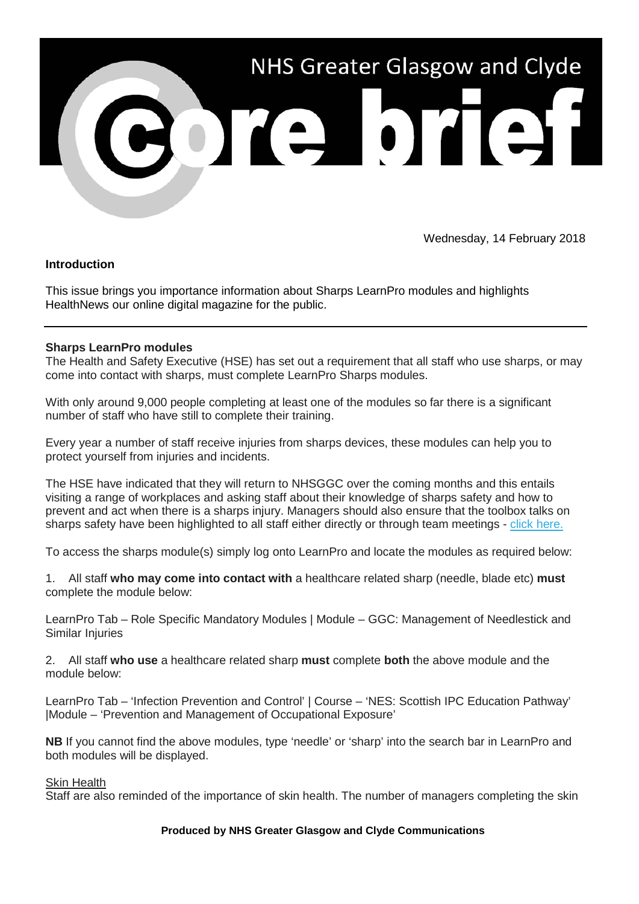

Wednesday, 14 February 2018

# **Introduction**

This issue brings you importance information about Sharps LearnPro modules and highlights HealthNews our online digital magazine for the public.

## **Sharps LearnPro modules**

The Health and Safety Executive (HSE) has set out a requirement that all staff who use sharps, or may come into contact with sharps, must complete LearnPro Sharps modules.

With only around 9,000 people completing at least one of the modules so far there is a significant number of staff who have still to complete their training.

Every year a number of staff receive injuries from sharps devices, these modules can help you to protect yourself from injuries and incidents.

The HSE have indicated that they will return to NHSGGC over the coming months and this entails visiting a range of workplaces and asking staff about their knowledge of sharps safety and how to prevent and act when there is a sharps injury. Managers should also ensure that the toolbox talks on sharps safety have been highlighted to all staff either directly or through team meetings - [click here.](https://nhsggc.us12.list-manage.com/track/click?u=0f385b5aea37eaf0213bd19fb&id=ec7a619ebf&e=5af5e1832c)

To access the sharps module(s) simply log onto LearnPro and locate the modules as required below:

1. All staff **who may come into contact with** a healthcare related sharp (needle, blade etc) **must** complete the module below:

LearnPro Tab – Role Specific Mandatory Modules | Module – GGC: Management of Needlestick and Similar Injuries

2. All staff **who use** a healthcare related sharp **must** complete **both** the above module and the module below:

LearnPro Tab – 'Infection Prevention and Control' | Course – 'NES: Scottish IPC Education Pathway' |Module – 'Prevention and Management of Occupational Exposure'

**NB** If you cannot find the above modules, type 'needle' or 'sharp' into the search bar in LearnPro and both modules will be displayed.

#### Skin Health

Staff are also reminded of the importance of skin health. The number of managers completing the skin

#### **Produced by NHS Greater Glasgow and Clyde Communications**